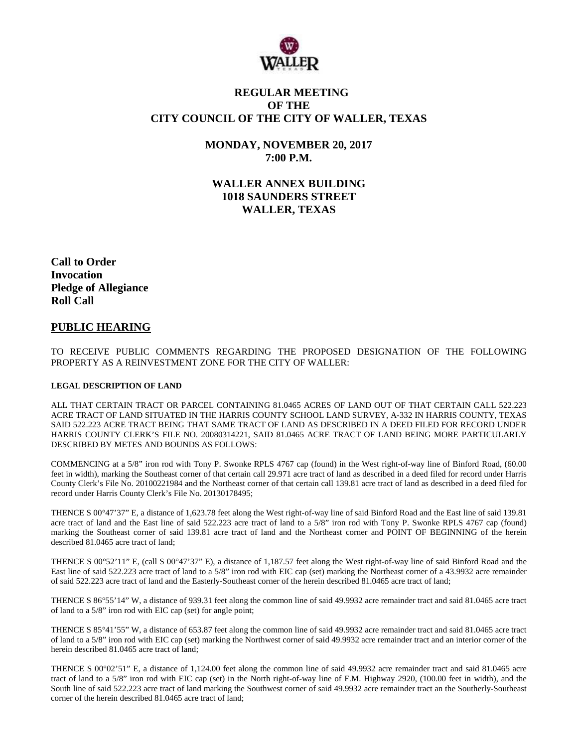

## **REGULAR MEETING OF THE CITY COUNCIL OF THE CITY OF WALLER, TEXAS**

**MONDAY, NOVEMBER 20, 2017 7:00 P.M.**

**WALLER ANNEX BUILDING 1018 SAUNDERS STREET WALLER, TEXAS**

**Call to Order Invocation Pledge of Allegiance Roll Call**

#### **PUBLIC HEARING**

TO RECEIVE PUBLIC COMMENTS REGARDING THE PROPOSED DESIGNATION OF THE FOLLOWING PROPERTY AS A REINVESTMENT ZONE FOR THE CITY OF WALLER:

#### **LEGAL DESCRIPTION OF LAND**

ALL THAT CERTAIN TRACT OR PARCEL CONTAINING 81.0465 ACRES OF LAND OUT OF THAT CERTAIN CALL 522.223 ACRE TRACT OF LAND SITUATED IN THE HARRIS COUNTY SCHOOL LAND SURVEY, A-332 IN HARRIS COUNTY, TEXAS SAID 522.223 ACRE TRACT BEING THAT SAME TRACT OF LAND AS DESCRIBED IN A DEED FILED FOR RECORD UNDER HARRIS COUNTY CLERK'S FILE NO. 20080314221, SAID 81.0465 ACRE TRACT OF LAND BEING MORE PARTICULARLY DESCRIBED BY METES AND BOUNDS AS FOLLOWS:

COMMENCING at a 5/8" iron rod with Tony P. Swonke RPLS 4767 cap (found) in the West right-of-way line of Binford Road, (60.00 feet in width), marking the Southeast corner of that certain call 29.971 acre tract of land as described in a deed filed for record under Harris County Clerk's File No. 20100221984 and the Northeast corner of that certain call 139.81 acre tract of land as described in a deed filed for record under Harris County Clerk's File No. 20130178495;

THENCE S 00°47'37" E, a distance of 1,623.78 feet along the West right-of-way line of said Binford Road and the East line of said 139.81 acre tract of land and the East line of said 522.223 acre tract of land to a 5/8" iron rod with Tony P. Swonke RPLS 4767 cap (found) marking the Southeast corner of said 139.81 acre tract of land and the Northeast corner and POINT OF BEGINNING of the herein described 81.0465 acre tract of land;

THENCE S 00°52'11" E, (call S 00°47'37" E), a distance of 1,187.57 feet along the West right-of-way line of said Binford Road and the East line of said 522.223 acre tract of land to a 5/8" iron rod with EIC cap (set) marking the Northeast corner of a 43.9932 acre remainder of said 522.223 acre tract of land and the Easterly-Southeast corner of the herein described 81.0465 acre tract of land;

THENCE S 86°55'14" W, a distance of 939.31 feet along the common line of said 49.9932 acre remainder tract and said 81.0465 acre tract of land to a 5/8" iron rod with EIC cap (set) for angle point;

THENCE S 85°41'55" W, a distance of 653.87 feet along the common line of said 49.9932 acre remainder tract and said 81.0465 acre tract of land to a 5/8" iron rod with EIC cap (set) marking the Northwest corner of said 49.9932 acre remainder tract and an interior corner of the herein described 81.0465 acre tract of land;

THENCE S 00°02'51" E, a distance of 1,124.00 feet along the common line of said 49.9932 acre remainder tract and said 81.0465 acre tract of land to a 5/8" iron rod with EIC cap (set) in the North right-of-way line of F.M. Highway 2920, (100.00 feet in width), and the South line of said 522.223 acre tract of land marking the Southwest corner of said 49.9932 acre remainder tract an the Southerly-Southeast corner of the herein described 81.0465 acre tract of land;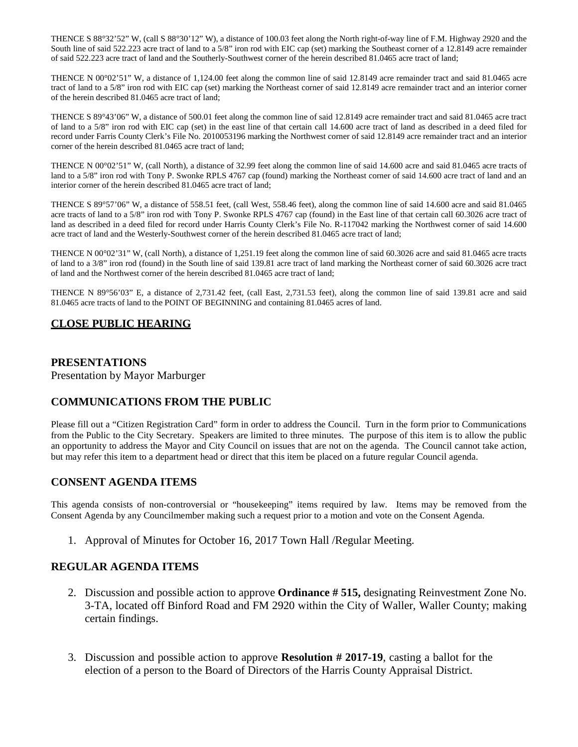THENCE S 88°32'52" W, (call S 88°30'12" W), a distance of 100.03 feet along the North right-of-way line of F.M. Highway 2920 and the South line of said 522.223 acre tract of land to a 5/8" iron rod with EIC cap (set) marking the Southeast corner of a 12.8149 acre remainder of said 522.223 acre tract of land and the Southerly-Southwest corner of the herein described 81.0465 acre tract of land;

THENCE N 00°02'51" W, a distance of 1,124.00 feet along the common line of said 12.8149 acre remainder tract and said 81.0465 acre tract of land to a 5/8" iron rod with EIC cap (set) marking the Northeast corner of said 12.8149 acre remainder tract and an interior corner of the herein described 81.0465 acre tract of land;

THENCE S 89°43'06" W, a distance of 500.01 feet along the common line of said 12.8149 acre remainder tract and said 81.0465 acre tract of land to a 5/8" iron rod with EIC cap (set) in the east line of that certain call 14.600 acre tract of land as described in a deed filed for record under Farris County Clerk's File No. 2010053196 marking the Northwest corner of said 12.8149 acre remainder tract and an interior corner of the herein described 81.0465 acre tract of land;

THENCE N 00°02'51" W, (call North), a distance of 32.99 feet along the common line of said 14.600 acre and said 81.0465 acre tracts of land to a 5/8" iron rod with Tony P. Swonke RPLS 4767 cap (found) marking the Northeast corner of said 14.600 acre tract of land and an interior corner of the herein described 81.0465 acre tract of land;

THENCE S 89°57'06" W, a distance of 558.51 feet, (call West, 558.46 feet), along the common line of said 14.600 acre and said 81.0465 acre tracts of land to a 5/8" iron rod with Tony P. Swonke RPLS 4767 cap (found) in the East line of that certain call 60.3026 acre tract of land as described in a deed filed for record under Harris County Clerk's File No. R-117042 marking the Northwest corner of said 14.600 acre tract of land and the Westerly-Southwest corner of the herein described 81.0465 acre tract of land;

THENCE N 00°02'31" W, (call North), a distance of 1,251.19 feet along the common line of said 60.3026 acre and said 81.0465 acre tracts of land to a 3/8" iron rod (found) in the South line of said 139.81 acre tract of land marking the Northeast corner of said 60.3026 acre tract of land and the Northwest corner of the herein described 81.0465 acre tract of land;

THENCE N 89°56'03" E, a distance of 2,731.42 feet, (call East, 2,731.53 feet), along the common line of said 139.81 acre and said 81.0465 acre tracts of land to the POINT OF BEGINNING and containing 81.0465 acres of land.

## **CLOSE PUBLIC HEARING**

#### **PRESENTATIONS**

Presentation by Mayor Marburger

## **COMMUNICATIONS FROM THE PUBLIC**

Please fill out a "Citizen Registration Card" form in order to address the Council. Turn in the form prior to Communications from the Public to the City Secretary. Speakers are limited to three minutes. The purpose of this item is to allow the public an opportunity to address the Mayor and City Council on issues that are not on the agenda. The Council cannot take action, but may refer this item to a department head or direct that this item be placed on a future regular Council agenda.

## **CONSENT AGENDA ITEMS**

This agenda consists of non-controversial or "housekeeping" items required by law. Items may be removed from the Consent Agenda by any Councilmember making such a request prior to a motion and vote on the Consent Agenda.

1. Approval of Minutes for October 16, 2017 Town Hall /Regular Meeting.

## **REGULAR AGENDA ITEMS**

- 2. Discussion and possible action to approve **Ordinance # 515,** designating Reinvestment Zone No. 3-TA, located off Binford Road and FM 2920 within the City of Waller, Waller County; making certain findings.
- 3. Discussion and possible action to approve **Resolution # 2017-19**, casting a ballot for the election of a person to the Board of Directors of the Harris County Appraisal District.